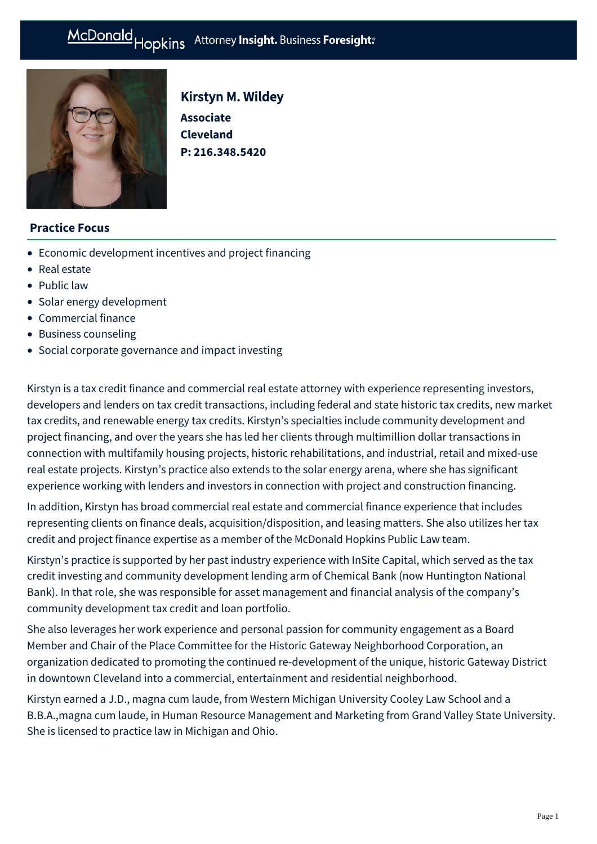# McDonald Hopkins Attorney Insight. Business Foresight:



# Kirstyn M. Wildey

**Associate Cleveland P: [216.348.5420](tel:216.348.5420)**

# **Practice Focus**

- [Economic development incentives and project financing](https://mcdonaldhopkins.com/Expertise/Real-estate/Economic-development-incentives-and-project-financ)
- [Real estate](https://mcdonaldhopkins.com/Expertise/Real-estate)
- [Public law](https://mcdonaldhopkins.com/Expertise/Public-law)
- [Solar energy development](https://mcdonaldhopkins.com/Expertise/Energy/Solar-energy-development)
- [Commercial finance](https://mcdonaldhopkins.com/Expertise/Finance/Commercial-finance)
- [Business counseling](https://mcdonaldhopkins.com/Expertise/Business-counseling)
- [Social corporate governance and impact investing](https://mcdonaldhopkins.com/Expertise/Business-counseling/Social-Corporate-Governance-and-Impact-Investing)

Kirstyn is a tax credit finance and commercial real estate attorney with experience representing investors, developers and lenders on tax credit transactions, including federal and state historic tax credits, new market tax credits, and renewable energy tax credits. Kirstyn's specialties include community development and project financing, and over the years she has led her clients through multimillion dollar transactions in connection with multifamily housing projects, historic rehabilitations, and industrial, retail and mixed-use real estate projects. Kirstyn's practice also extends to the solar energy arena, where she has significant experience working with lenders and investors in connection with project and construction financing.

In addition, Kirstyn has broad commercial real estate and commercial finance experience that includes representing clients on finance deals, acquisition/disposition, and leasing matters. She also utilizes her tax credit and project finance expertise as a member of the McDonald Hopkins Public Law team.

Kirstyn's practice is supported by her past industry experience with InSite Capital, which served as the tax credit investing and community development lending arm of Chemical Bank (now Huntington National Bank). In that role, she was responsible for asset management and financial analysis of the company's community development tax credit and loan portfolio.

She also leverages her work experience and personal passion for community engagement as a Board Member and Chair of the Place Committee for the Historic Gateway Neighborhood Corporation, an organization dedicated to promoting the continued re-development of the unique, historic Gateway District in downtown Cleveland into a commercial, entertainment and residential neighborhood.

Kirstyn earned a J.D., magna cum laude, from Western Michigan University Cooley Law School and a B.B.A.,magna cum laude, in Human Resource Management and Marketing from Grand Valley State University. She is licensed to practice law in Michigan and Ohio.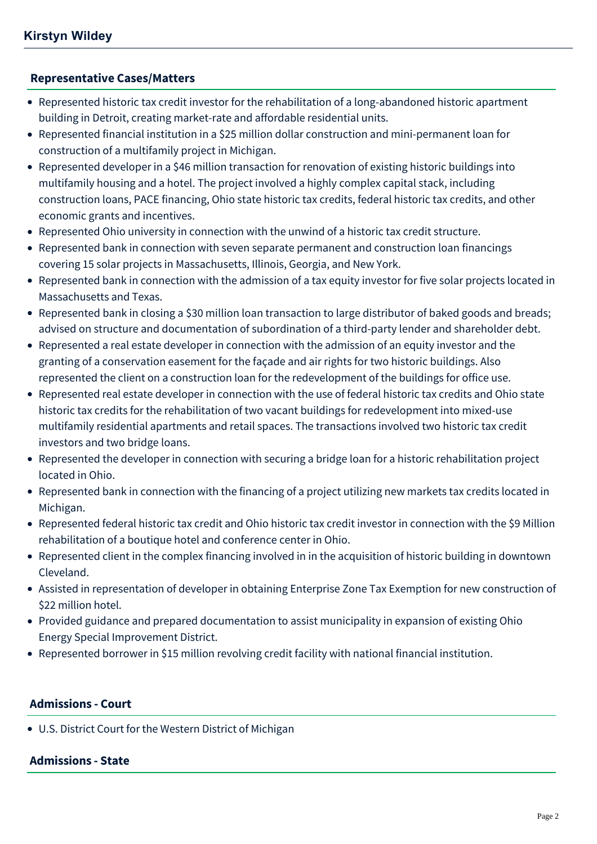### **[Representative Cases/Matters](#page-1-0)**

- <span id="page-1-0"></span>Represented historic tax credit investor for the rehabilitation of a long-abandoned historic apartment building in Detroit, creating market-rate and affordable residential units.
- Represented financial institution in a \$25 million dollar construction and mini-permanent loan for construction of a multifamily project in Michigan.
- Represented developer in a \$46 million transaction for renovation of existing historic buildings into multifamily housing and a hotel. The project involved a highly complex capital stack, including construction loans, PACE financing, Ohio state historic tax credits, federal historic tax credits, and other economic grants and incentives.
- Represented Ohio university in connection with the unwind of a historic tax credit structure.
- Represented bank in connection with seven separate permanent and construction loan financings covering 15 solar projects in Massachusetts, Illinois, Georgia, and New York.
- Represented bank in connection with the admission of a tax equity investor for five solar projects located in Massachusetts and Texas.
- Represented bank in closing a \$30 million loan transaction to large distributor of baked goods and breads; advised on structure and documentation of subordination of a third-party lender and shareholder debt.
- Represented a real estate developer in connection with the admission of an equity investor and the granting of a conservation easement for the façade and air rights for two historic buildings. Also represented the client on a construction loan for the redevelopment of the buildings for office use.
- Represented real estate developer in connection with the use of federal historic tax credits and Ohio state historic tax credits for the rehabilitation of two vacant buildings for redevelopment into mixed-use multifamily residential apartments and retail spaces. The transactions involved two historic tax credit investors and two bridge loans.
- Represented the developer in connection with securing a bridge loan for a historic rehabilitation project located in Ohio.
- Represented bank in connection with the financing of a project utilizing new markets tax credits located in Michigan.
- Represented federal historic tax credit and Ohio historic tax credit investor in connection with the \$9 Million rehabilitation of a boutique hotel and conference center in Ohio.
- Represented client in the complex financing involved in in the acquisition of historic building in downtown Cleveland.
- Assisted in representation of developer in obtaining Enterprise Zone Tax Exemption for new construction of \$22 million hotel.
- Provided guidance and prepared documentation to assist municipality in expansion of existing Ohio Energy Special Improvement District.
- Represented borrower in \$15 million revolving credit facility with national financial institution.

# **Admissions - Court**

U.S. District Court for the Western District of Michigan

#### **Admissions - State**